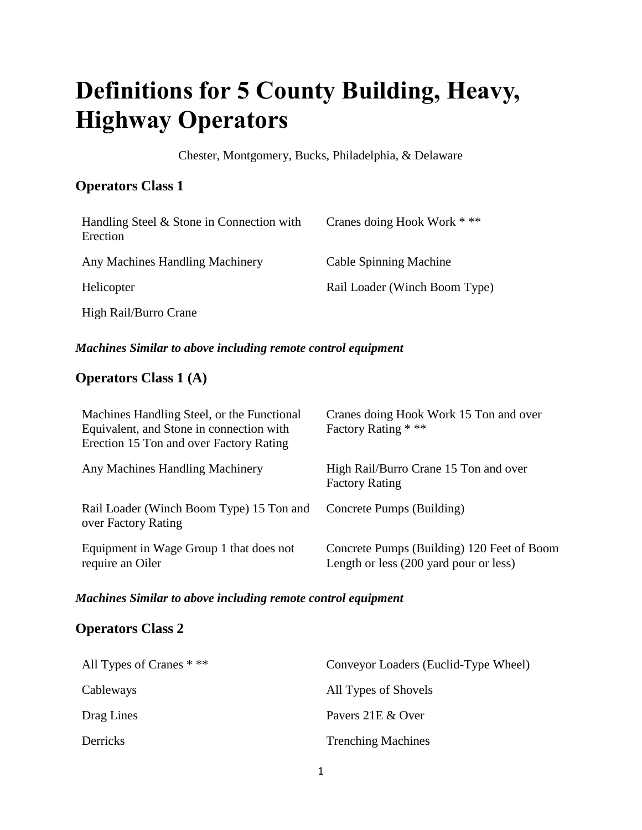# **Definitions for 5 County Building, Heavy, Highway Operators**

Chester, Montgomery, Bucks, Philadelphia, & Delaware

## **Operators Class 1**

| Handling Steel & Stone in Connection with<br>Erection | Cranes doing Hook Work * **   |
|-------------------------------------------------------|-------------------------------|
| Any Machines Handling Machinery                       | <b>Cable Spinning Machine</b> |
| Helicopter                                            | Rail Loader (Winch Boom Type) |
| High Rail/Burro Crane                                 |                               |

## *Machines Similar to above including remote control equipment*

## **Operators Class 1 (A)**

| Machines Handling Steel, or the Functional<br>Equivalent, and Stone in connection with<br>Erection 15 Ton and over Factory Rating | Cranes doing Hook Work 15 Ton and over<br>Factory Rating * **                        |
|-----------------------------------------------------------------------------------------------------------------------------------|--------------------------------------------------------------------------------------|
| Any Machines Handling Machinery                                                                                                   | High Rail/Burro Crane 15 Ton and over<br><b>Factory Rating</b>                       |
| Rail Loader (Winch Boom Type) 15 Ton and<br>over Factory Rating                                                                   | Concrete Pumps (Building)                                                            |
| Equipment in Wage Group 1 that does not<br>require an Oiler                                                                       | Concrete Pumps (Building) 120 Feet of Boom<br>Length or less (200 yard pour or less) |

## *Machines Similar to above including remote control equipment*

## **Operators Class 2**

| All Types of Cranes $***$ | Conveyor Loaders (Euclid-Type Wheel) |
|---------------------------|--------------------------------------|
| Cableways                 | All Types of Shovels                 |
| Drag Lines                | Pavers 21E & Over                    |
| Derricks                  | <b>Trenching Machines</b>            |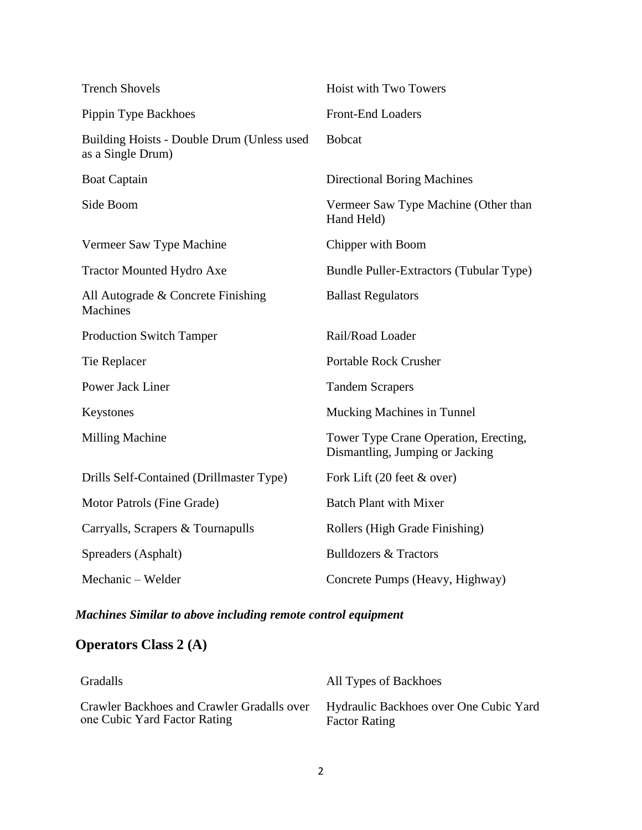| <b>Trench Shovels</b>                                           | Hoist with Two Towers                                                    |
|-----------------------------------------------------------------|--------------------------------------------------------------------------|
| Pippin Type Backhoes                                            | <b>Front-End Loaders</b>                                                 |
| Building Hoists - Double Drum (Unless used<br>as a Single Drum) | <b>Bobcat</b>                                                            |
| <b>Boat Captain</b>                                             | <b>Directional Boring Machines</b>                                       |
| Side Boom                                                       | Vermeer Saw Type Machine (Other than<br>Hand Held)                       |
| Vermeer Saw Type Machine                                        | Chipper with Boom                                                        |
| <b>Tractor Mounted Hydro Axe</b>                                | Bundle Puller-Extractors (Tubular Type)                                  |
| All Autograde & Concrete Finishing<br><b>Machines</b>           | <b>Ballast Regulators</b>                                                |
| <b>Production Switch Tamper</b>                                 | Rail/Road Loader                                                         |
| Tie Replacer                                                    | <b>Portable Rock Crusher</b>                                             |
| Power Jack Liner                                                | <b>Tandem Scrapers</b>                                                   |
| Keystones                                                       | <b>Mucking Machines in Tunnel</b>                                        |
| <b>Milling Machine</b>                                          | Tower Type Crane Operation, Erecting,<br>Dismantling, Jumping or Jacking |
| Drills Self-Contained (Drillmaster Type)                        | Fork Lift $(20 \text{ feet } \& \text{ over})$                           |
| Motor Patrols (Fine Grade)                                      | <b>Batch Plant with Mixer</b>                                            |
| Carryalls, Scrapers & Tournapulls                               | Rollers (High Grade Finishing)                                           |
| Spreaders (Asphalt)                                             | <b>Bulldozers &amp; Tractors</b>                                         |
| Mechanic - Welder                                               | Concrete Pumps (Heavy, Highway)                                          |

# **Operators Class 2 (A)**

| Gradalls                                   | All Types of Backhoes                  |
|--------------------------------------------|----------------------------------------|
| Crawler Backhoes and Crawler Gradalls over | Hydraulic Backhoes over One Cubic Yard |
| one Cubic Yard Factor Rating               | <b>Factor Rating</b>                   |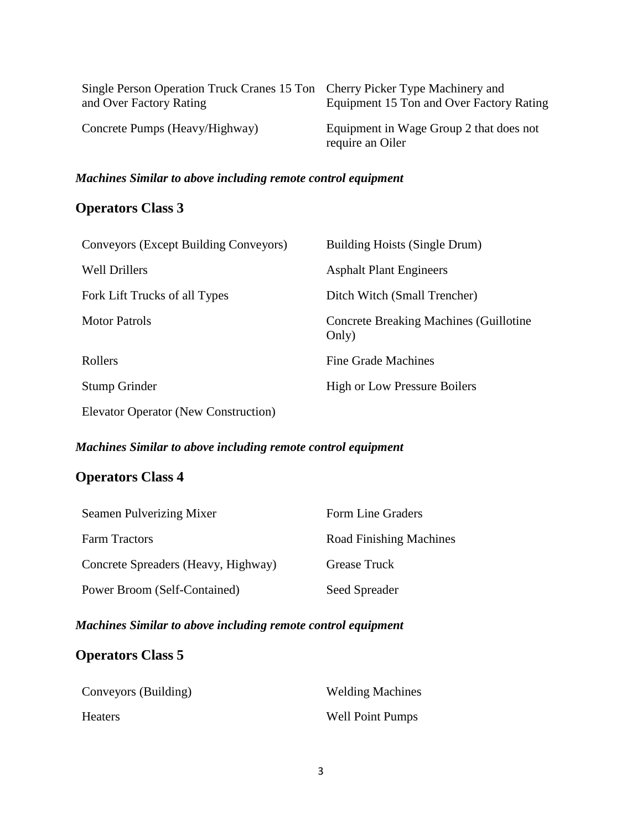| Single Person Operation Truck Cranes 15 Ton Cherry Picker Type Machinery and<br>and Over Factory Rating | Equipment 15 Ton and Over Factory Rating                    |
|---------------------------------------------------------------------------------------------------------|-------------------------------------------------------------|
| Concrete Pumps (Heavy/Highway)                                                                          | Equipment in Wage Group 2 that does not<br>require an Oiler |

## **Operators Class 3**

| Conveyors (Except Building Conveyors) | <b>Building Hoists (Single Drum)</b>                     |
|---------------------------------------|----------------------------------------------------------|
| <b>Well Drillers</b>                  | <b>Asphalt Plant Engineers</b>                           |
| Fork Lift Trucks of all Types         | Ditch Witch (Small Trencher)                             |
| Motor Patrols                         | <b>Concrete Breaking Machines (Guillotine</b> )<br>Only) |
| Rollers                               | Fine Grade Machines                                      |
| <b>Stump Grinder</b>                  | <b>High or Low Pressure Boilers</b>                      |
| Elevator Operator (New Construction)  |                                                          |

## *Machines Similar to above including remote control equipment*

## **Operators Class 4**

| Seamen Pulverizing Mixer            | Form Line Graders              |
|-------------------------------------|--------------------------------|
| <b>Farm Tractors</b>                | <b>Road Finishing Machines</b> |
| Concrete Spreaders (Heavy, Highway) | Grease Truck                   |
| Power Broom (Self-Contained)        | Seed Spreader                  |

## *Machines Similar to above including remote control equipment*

## **Operators Class 5**

| Conveyors (Building) | <b>Welding Machines</b> |
|----------------------|-------------------------|
| <b>Heaters</b>       | <b>Well Point Pumps</b> |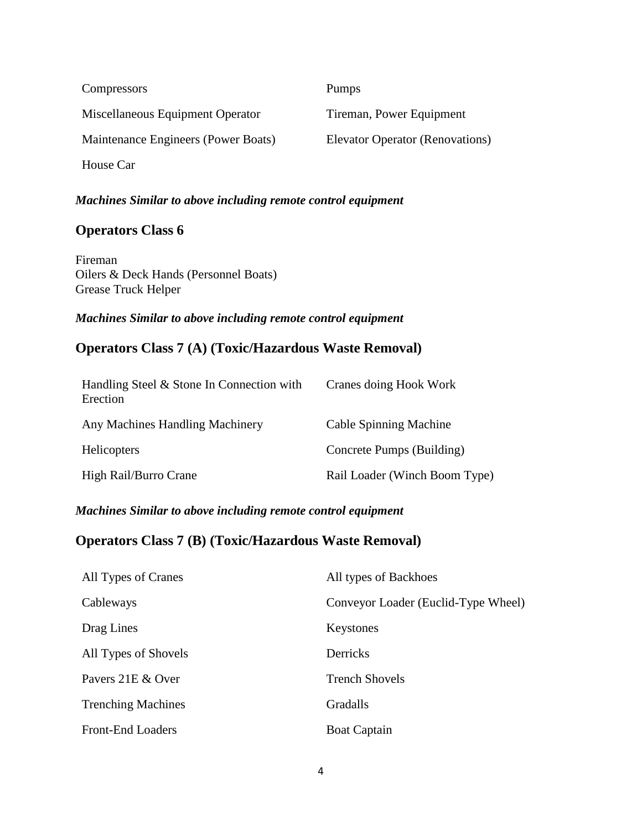| Compressors                         | Pumps                                  |
|-------------------------------------|----------------------------------------|
| Miscellaneous Equipment Operator    | Tireman, Power Equipment               |
| Maintenance Engineers (Power Boats) | <b>Elevator Operator (Renovations)</b> |
| House Car                           |                                        |

## **Operators Class 6**

Fireman Oilers & Deck Hands (Personnel Boats) Grease Truck Helper

### *Machines Similar to above including remote control equipment*

## **Operators Class 7 (A) (Toxic/Hazardous Waste Removal)**

| Handling Steel & Stone In Connection with<br>Erection | Cranes doing Hook Work        |
|-------------------------------------------------------|-------------------------------|
| Any Machines Handling Machinery                       | Cable Spinning Machine        |
| <b>Helicopters</b>                                    | Concrete Pumps (Building)     |
| High Rail/Burro Crane                                 | Rail Loader (Winch Boom Type) |

## *Machines Similar to above including remote control equipment*

## **Operators Class 7 (B) (Toxic/Hazardous Waste Removal)**

| All Types of Cranes       | All types of Backhoes               |
|---------------------------|-------------------------------------|
| Cableways                 | Conveyor Loader (Euclid-Type Wheel) |
| Drag Lines                | Keystones                           |
| All Types of Shovels      | Derricks                            |
| Pavers 21E & Over         | <b>Trench Shovels</b>               |
| <b>Trenching Machines</b> | <b>Gradalls</b>                     |
| <b>Front-End Loaders</b>  | <b>Boat Captain</b>                 |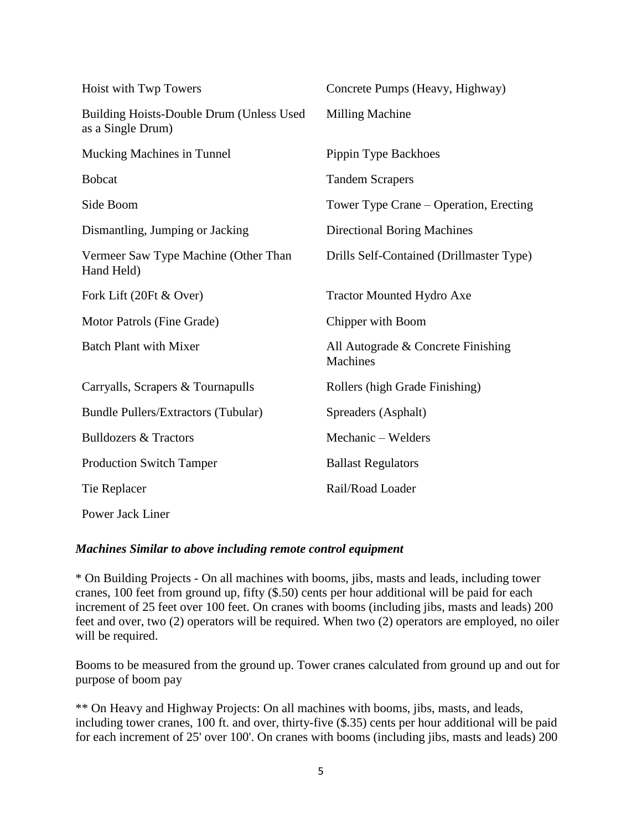| Hoist with Twp Towers                                         | Concrete Pumps (Heavy, Highway)                |
|---------------------------------------------------------------|------------------------------------------------|
| Building Hoists-Double Drum (Unless Used<br>as a Single Drum) | <b>Milling Machine</b>                         |
| Mucking Machines in Tunnel                                    | Pippin Type Backhoes                           |
| <b>Bobcat</b>                                                 | <b>Tandem Scrapers</b>                         |
| Side Boom                                                     | Tower Type Crane – Operation, Erecting         |
| Dismantling, Jumping or Jacking                               | <b>Directional Boring Machines</b>             |
| Vermeer Saw Type Machine (Other Than<br>Hand Held)            | Drills Self-Contained (Drillmaster Type)       |
| Fork Lift (20Ft & Over)                                       | <b>Tractor Mounted Hydro Axe</b>               |
| Motor Patrols (Fine Grade)                                    | Chipper with Boom                              |
| <b>Batch Plant with Mixer</b>                                 | All Autograde & Concrete Finishing<br>Machines |
| Carryalls, Scrapers & Tournapulls                             | Rollers (high Grade Finishing)                 |
| <b>Bundle Pullers/Extractors (Tubular)</b>                    | Spreaders (Asphalt)                            |
| <b>Bulldozers &amp; Tractors</b>                              | Mechanic - Welders                             |
| <b>Production Switch Tamper</b>                               | <b>Ballast Regulators</b>                      |
| Tie Replacer                                                  | Rail/Road Loader                               |
| Power Jack Liner                                              |                                                |

\* On Building Projects - On all machines with booms, jibs, masts and leads, including tower cranes, 100 feet from ground up, fifty (\$.50) cents per hour additional will be paid for each increment of 25 feet over 100 feet. On cranes with booms (including jibs, masts and leads) 200 feet and over, two (2) operators will be required. When two (2) operators are employed, no oiler will be required.

Booms to be measured from the ground up. Tower cranes calculated from ground up and out for purpose of boom pay

\*\* On Heavy and Highway Projects: On all machines with booms, jibs, masts, and leads, including tower cranes, 100 ft. and over, thirty-five (\$.35) cents per hour additional will be paid for each increment of 25' over 100'. On cranes with booms (including jibs, masts and leads) 200